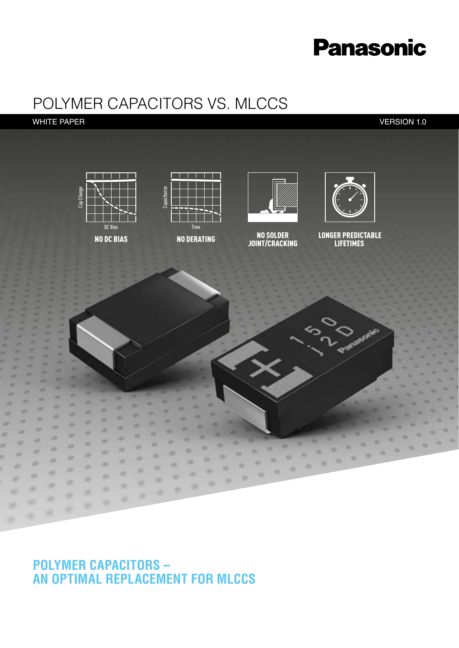# **Panasonic**

## POLYMER CAPACITORS VS. MLCCS

### WHITE PAPER VERSION 1.0



**POLYMER CAPACITORS -AN OPTIMAL REPLACEMENT FOR MLCCS**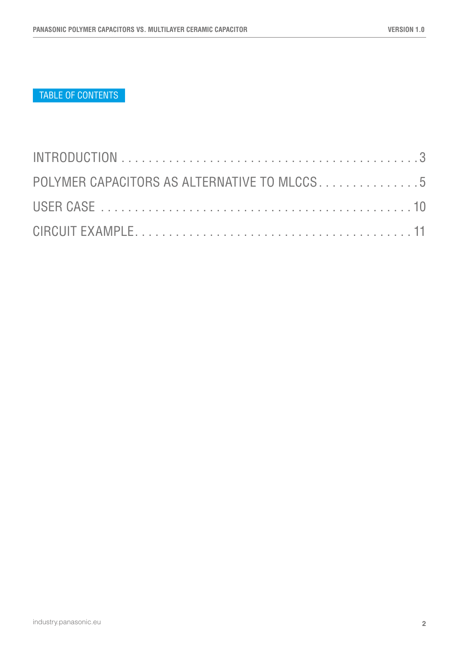### TABLE OF CONTENTS

| POLYMER CAPACITORS AS ALTERNATIVE TO MLCCS5 |  |
|---------------------------------------------|--|
|                                             |  |
|                                             |  |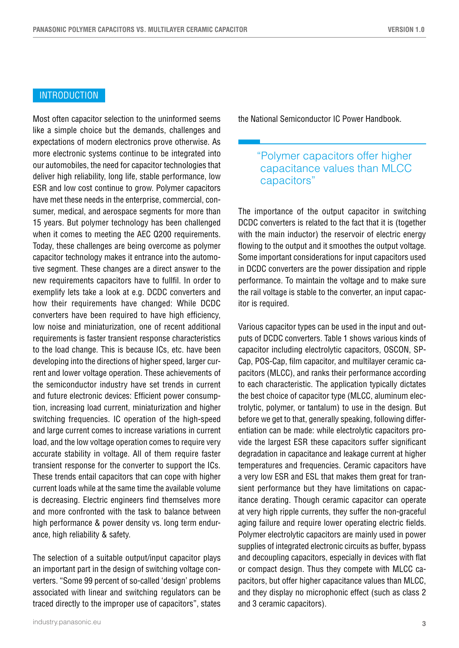#### INTRODUCTION

Most often capacitor selection to the uninformed seems like a simple choice but the demands, challenges and expectations of modern electronics prove otherwise. As more electronic systems continue to be integrated into our automobiles, the need for capacitor technologies that deliver high reliability, long life, stable performance, low ESR and low cost continue to grow. Polymer capacitors sumer, medical, and aerospace segments for more than have met these needs in the enterprise, commercial, con-15 years. But polymer technology has been challenged when it comes to meeting the AEC Q200 requirements. Today, these challenges are being overcome as polymer tive segment. These changes are a direct answer to the capacitor technology makes it entrance into the automonew requirements capacitors have to fullfil. In order to exemplify lets take a look at e.g. DCDC converters and how their requirements have changed: While DCDC converters have been required to have high efficiency, low noise and miniaturization, one of recent additional requirements is faster transient response characteristics to the load change. This is because ICs, etc. have been developing into the directions of higher speed, larger cur-<br>rent and lower voltage operation. These achievements of the semiconductor industry have set trends in current tion, increasing load current, miniaturization and higher and future electronic devices: Efficient power consumpswitching frequencies. IC operation of the high-speed and large current comes to increase variations in current load, and the low voltage operation comes to require very accurate stability in voltage. All of them require faster transient response for the converter to support the ICs. These trends entail capacitors that can cope with higher current loads while at the same time the available volume is decreasing. Electric engineers find themselves more and more confronted with the task to balance between high performance & power density vs. long term endur-<br>ance, high reliability & safety.

The selection of a suitable output/input capacitor plays verters. "Some 99 percent of so-called 'design' problems an important part in the design of switching voltage conassociated with linear and switching regulators can be traced directly to the improper use of capacitors", states the National Semiconductor IC Power Handbook.

### "Polymer capacitors offer higher capacitance values than MLCC "capacitors

The importance of the output capacitor in switching DCDC converters is related to the fact that it is (together with the main inductor) the reservoir of electric energy flowing to the output and it smoothes the output voltage. Some important considerations for input capacitors used in DCDC converters are the power dissipation and ripple performance. To maintain the voltage and to make sure the rail voltage is stable to the converter, an input capac-<br>itor is required.

puts of DCDC converters. Table 1 shows various kinds of Various capacitor types can be used in the input and outpacitors (MLCC), and ranks their performance according Cap, POS-Cap, film capacitor, and multilayer ceramic cacapacitor including electrolytic capacitors, OSCON, SPto each characteristic. The application typically dictates trolytic, polymer, or tantalum) to use in the design. But the best choice of capacitor type (MLCC, aluminum elecentiation can be made: while electrolytic capacitors pro-<br>vide the largest ESR these capacitors suffer significant before we get to that, generally speaking, following differ-<br>entiation can be made: while electrolytic capacitors probefore we get to that, generally speaking, following differdegradation in capacitance and leakage current at higher temperatures and frequencies. Ceramic capacitors have itance derating. Though ceramic capacitor can operate sient performance but they have limitations on capaca very low ESR and ESL that makes them great for tranat very high ripple currents, they suffer the non-graceful aging failure and require lower operating electric fields. Polymer electrolytic capacitors are mainly used in power supplies of integrated electronic circuits as buffer, bypass and decoupling capacitors, especially in devices with flat pacitors, but offer higher capacitance values than MLCC, or compact design. Thus they compete with MLCC caand they display no microphonic effect (such as class 2 and 3 ceramic capacitors).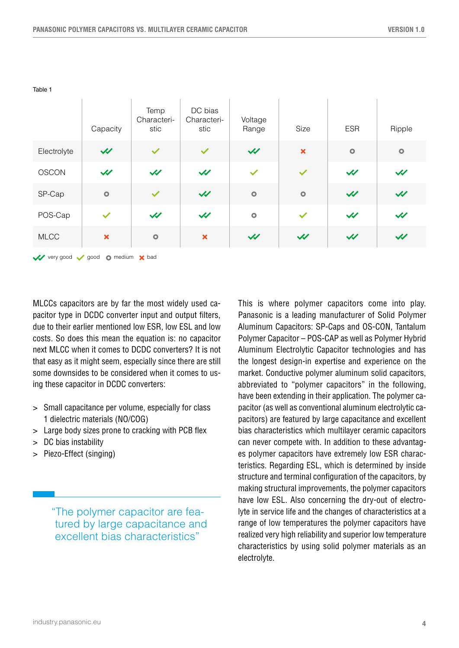Table 1

|                                    | Capacity                   | Temp<br>Characteri-<br>stic | DC bias<br>Characteri-<br>stic | Voltage<br>Range | Size                      | <b>ESR</b>   | Ripple       |
|------------------------------------|----------------------------|-----------------------------|--------------------------------|------------------|---------------------------|--------------|--------------|
| Electrolyte                        | $\boldsymbol{\mathcal{W}}$ | $\checkmark$                | $\checkmark$                   | $\checkmark$     | $\boldsymbol{\mathsf{x}}$ | $\circ$      | $\circ$      |
| <b>OSCON</b>                       | $\checkmark$               | $\checkmark$                | $\checkmark$                   | $\checkmark$     | $\checkmark$              | $\checkmark$ | $\checkmark$ |
| SP-Cap                             | $\bullet$                  | $\checkmark$                | $\boldsymbol{\mathcal{W}}$     | $\circ$          | $\bullet$                 | $\checkmark$ | $\checkmark$ |
| POS-Cap                            | $\checkmark$               | $\checkmark$                | $\checkmark$                   | $\bullet$        | $\checkmark$              | $\checkmark$ | $\checkmark$ |
| <b>MLCC</b>                        | $\boldsymbol{\mathsf{x}}$  | $\circ$                     | $\boldsymbol{\mathsf{x}}$      | $\checkmark$     | $\checkmark$              | $\checkmark$ | $\checkmark$ |
| Very good v good<br>O medium X bad |                            |                             |                                |                  |                           |              |              |

pacitor type in DCDC converter input and output filters, MLCCs capacitors are by far the most widely used cadue to their earlier mentioned low ESR, low ESL and low costs. So does this mean the equation is: no capacitor next MLCC when it comes to DCDC converters? It is not that easy as it might seem, especially since there are still some downsides to be considered when it comes to us-<br>ing these capacitor in DCDC converters:

- > Small capacitance per volume, especially for class 1 dielectric materials (NO/COG)
- $>$  Large body sizes prone to cracking with PCB flex
- > DC bias instability
- > Piezo-Effect (singing)

tured by large capacitance and "The polymer capacitor are feaexcellent bias characteristics"

This is where polymer capacitors come into play. Panasonic is a leading manufacturer of Solid Polymer Aluminum Capacitors: SP-Caps and OS-CON, Tantalum Polymer Capacitor – POS-CAP as well as Polymer Hybrid Aluminum Electrolytic Capacitor technologies and has the longest design-in expertise and experience on the market. Conductive polymer aluminum solid capacitors, abbreviated to "polymer capacitors" in the following, pacitors) are featured by large capacitance and excellent pacitor (as well as conventional aluminum electrolytic cahave been extending in their application. The polymer cabias characteristics which multilayer ceramic capacitors teristics. Regarding ESL, which is determined by inside es polymer capacitors have extremely low ESR characcan never compete with. In addition to these advantagstructure and terminal configuration of the capacitors, by making structural improvements, the polymer capacitors lyte in service life and the changes of characteristics at a have low ESL. Also concerning the dry-out of electrorange of low temperatures the polymer capacitors have realized very high reliability and superior low temperature characteristics by using solid polymer materials as an .electrolyte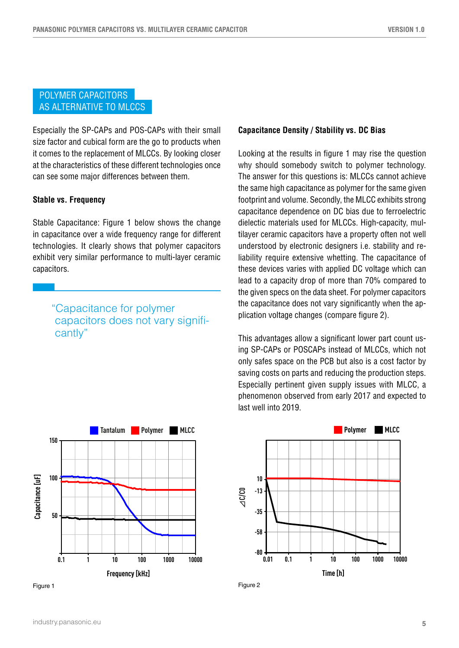#### POLYMER CAPACITORS AS ALTERNATIVE TO MLCCS

Especially the SP-CAPs and POS-CAPs with their small size factor and cubical form are the go to products when it comes to the replacement of MLCCs. By looking closer at the characteristics of these different technologies once can see some major differences between them.

#### **Stable vs. Frequency**

Stable Capacitance: Figure 1 below shows the change in capacitance over a wide frequency range for different technologies. It clearly shows that polymer capacitors exhibit very similar performance to multi-layer ceramic .capacitors

> "Capacitance for polymer capacitors does not vary signifi-<br>cantly"



**2** Figure 1 **Figure 2** 

#### **Capacitance Density / Stability vs. DC Bias**

Looking at the results in figure 1 may rise the question why should somebody switch to polymer technology. The answer for this questions is: MLCCs cannot achieve the same high capacitance as polymer for the same given footprint and volume. Secondly, the MLCC exhibits strong capacitance dependence on DC bias due to ferroelectric tilaver ceramic capacitors have a property often not well dielectic materials used for MLCCs. High-capacity, mulliability require extensive whetting. The capacitance of understood by electronic designers *i.e.* stability and rethese devices varies with applied DC voltage which can lead to a capacity drop of more than 70% compared to the given specs on the data sheet. For polymer capacitors the capacitance does not vary significantly when the ap-<br>plication voltage changes (compare figure 2).

ing SP-CAPs or POSCAPs instead of MLCCs, which not This advantages allow a significant lower part count usonly safes space on the PCB but also is a cost factor by saving costs on parts and reducing the production steps. Especially pertinent given supply issues with MLCC, a phenomenon observed from early 2017 and expected to last well into 2019.

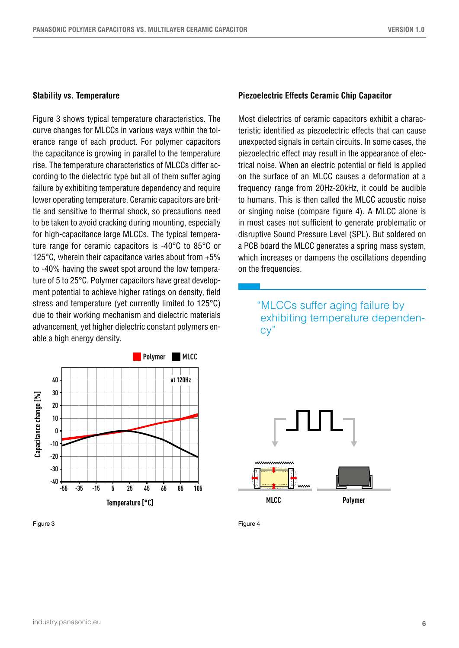#### **Stability vs. Temperature**

Figure 3 shows typical temperature characteristics. The erance range of each product. For polymer capacitors curve changes for MLCCs in various ways within the tolthe capacitance is growing in parallel to the temperature cording to the dielectric type but all of them suffer aging rise. The temperature characteristics of MLCCs differ acfailure by exhibiting temperature dependency and require tle and sensitive to thermal shock, so precautions need lower operating temperature. Ceramic capacitors are britto be taken to avoid cracking during mounting, especially ture range for ceramic capacitors is  $-40^{\circ}$ C to 85 $^{\circ}$ C or for high-capacitance large MLCCs. The typical tempera- $125^{\circ}$ C, wherein their capacitance varies about from  $+5\%$ ment potential to achieve higher ratings on density, field ture of 5 to 25°C. Polymer capacitors have great developto -40% having the sweet spot around the low temperastress and temperature (yet currently limited to 125°C) due to their working mechanism and dielectric materials advancement, yet higher dielectric constant polymers en-<br>able a high energy density.



Figure 3

#### **Piezoelectric Effects Ceramic Chip Capacitor**

teristic identified as piezoelectric effects that can cause Most dielectrics of ceramic capacitors exhibit a characunexpected signals in certain circuits. In some cases, the trical noise. When an electric potential or field is applied piezoelectric effect may result in the appearance of elecon the surface of an MLCC causes a deformation at a frequency range from 20Hz-20kHz, it could be audible to humans. This is then called the MLCC acoustic noise or singing noise (compare figure 4). A MLCC alone is in most cases not sufficient to generate problematic or disruptive Sound Pressure Level (SPL). But soldered on a PCB board the MLCC generates a spring mass system, which increases or dampens the oscillations depending on the frequencies.

### "MLCCs suffer aging failure by exhibiting temperature dependen-<br>cy"



4 Figure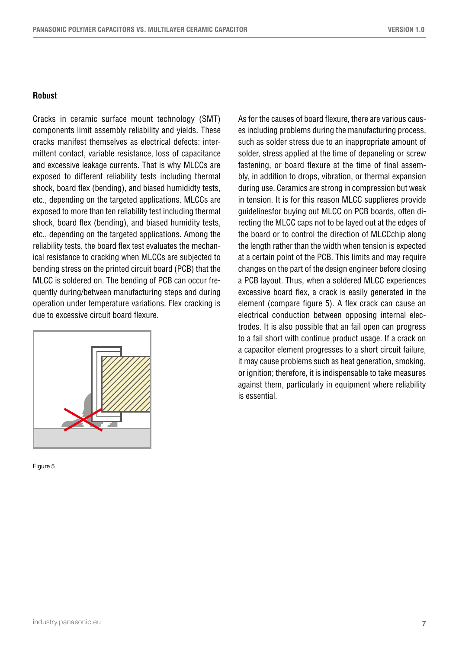#### **Robust**

Cracks in ceramic surface mount technology (SMT) components limit assembly reliability and yields. These mittent contact, variable resistance, loss of capacitance cracks manifest themselves as electrical defects: interand excessive leakage currents. That is why MLCCs are exposed to different reliability tests including thermal shock, board flex (bending), and biased humididty tests, etc., depending on the targeted applications. MLCCs are exposed to more than ten reliability test including thermal shock, board flex (bending), and biased humidity tests, etc., depending on the targeted applications. Among the ical resistance to cracking when MLCCs are subjected to reliability tests, the board flex test evaluates the mechanbending stress on the printed circuit board (PCB) that the quently during/between manufacturing steps and during MLCC is soldered on. The bending of PCB can occur freoperation under temperature variations. Flex cracking is due to excessive circuit board flexure.



Figure 5

es including problems during the manufacturing process, As for the causes of board flexure, there are various caussuch as solder stress due to an inappropriate amount of solder, stress applied at the time of depaneling or screw bly, in addition to drops, vibration, or thermal expansion fastening, or board flexure at the time of final assemduring use. Ceramics are strong in compression but weak in tension. It is for this reason MLCC supplieres provide recting the MLCC caps not to be layed out at the edges of guidelinesfor buying out MLCC on PCB boards, often dithe board or to control the direction of MLCCchip along the length rather than the width when tension is expected at a certain point of the PCB. This limits and may require changes on the part of the design engineer before closing a PCB layout. Thus, when a soldered MLCC experiences excessive board flex, a crack is easily generated in the element (compare figure 5). A flex crack can cause an electrical conduction between opposing internal elec-<br>trodes. It is also possible that an fail open can progress to a fail short with continue product usage. If a crack on a capacitor element progresses to a short circuit failure, it may cause problems such as heat generation, smoking, or ignition; therefore, it is indispensable to take measures against them, particularly in equipment where reliability is essential.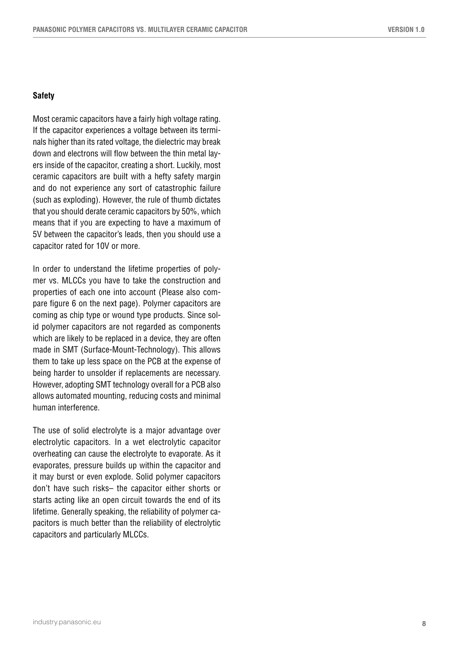#### **Safety**

Most ceramic capacitors have a fairly high voltage rating. If the capacitor experiences a voltage between its terminals higher than its rated voltage, the dielectric may break down and electrons will flow between the thin metal layers inside of the capacitor, creating a short. Luckily, most ceramic capacitors are built with a hefty safety margin and do not experience any sort of catastrophic failure (such as exploding). However, the rule of thumb dictates that you should derate ceramic capacitors by 50%, which means that if you are expecting to have a maximum of 5V between the capacitor's leads, then you should use a capacitor rated for 10V or more.

In order to understand the lifetime properties of polymer vs. MLCCs you have to take the construction and properties of each one into account (Please also compare figure 6 on the next page). Polymer capacitors are coming as chip type or wound type products. Since solid polymer capacitors are not regarded as components which are likely to be replaced in a device, they are often made in SMT (Surface-Mount-Technology). This allows them to take up less space on the PCB at the expense of being harder to unsolder if replacements are necessary. However, adopting SMT technology overall for a PCB also allows automated mounting, reducing costs and minimal human interference.

The use of solid electrolyte is a major advantage over electrolytic capacitors. In a wet electrolytic capacitor overheating can cause the electrolyte to evaporate. As it evaporates, pressure builds up within the capacitor and it may burst or even explode. Solid polymer capacitors don't have such risks- the capacitor either shorts or starts acting like an open circuit towards the end of its lifetime. Generally speaking, the reliability of polymer capacitors is much better than the reliability of electrolytic capacitors and particularly MLCCs.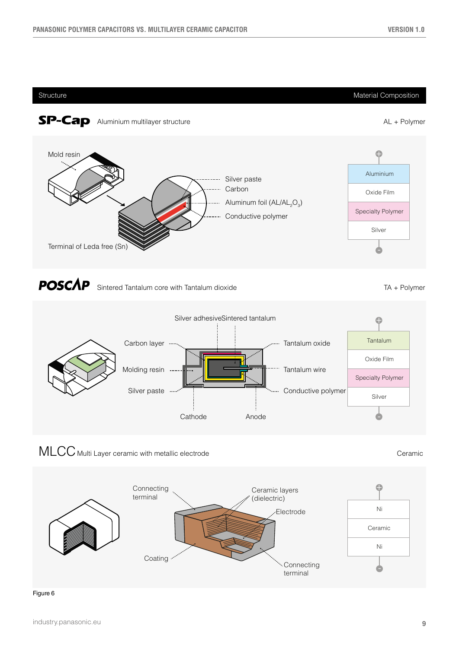

Figure 6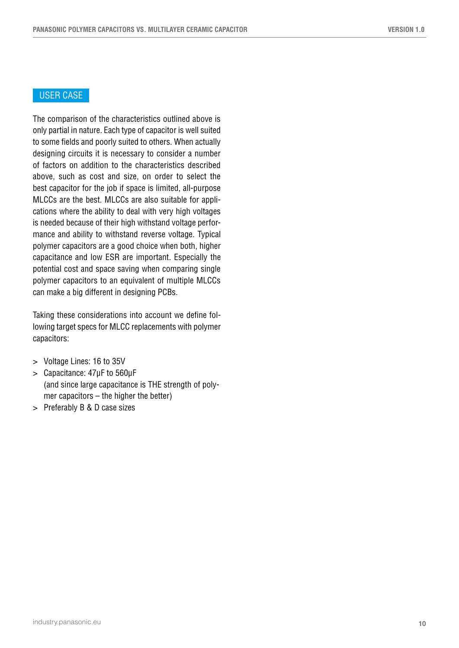#### **USER CASE**

The comparison of the characteristics outlined above is only partial in nature. Each type of capacitor is well suited to some fields and poorly suited to others. When actually designing circuits it is necessary to consider a number of factors on addition to the characteristics described above, such as cost and size, on order to select the best capacitor for the job if space is limited, all-purpose cations where the ability to deal with very high voltages MLCCs are the best. MLCCs are also suitable for applimance and ability to withstand reverse voltage. Typical is needed because of their high withstand voltage perforpolymer capacitors are a good choice when both, higher capacitance and low ESR are important. Especially the potential cost and space saving when comparing single polymer capacitors to an equivalent of multiple MLCCs can make a big different in designing PCBs.

lowing target specs for MLCC replacements with polymer Taking these considerations into account we define fol-:capacitors

- $>$  Voltage Lines: 16 to 35V
- > Capacitance:  $47 \mu F$  to  $560 \mu F$ (and since large capacitance is THE strength of poly-<br>mer capacitors – the higher the better)
- > Preferably B & D case sizes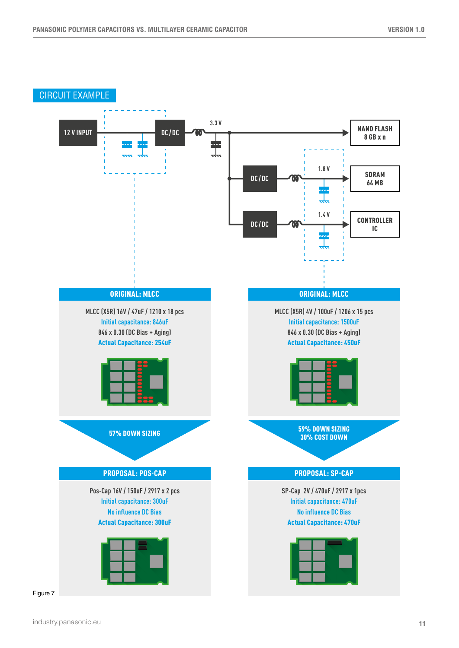